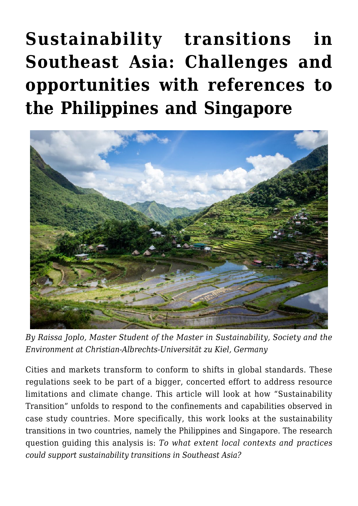# **[Sustainability transitions in](https://regions.regionalstudies.org/ezine/article/issue-12-transitions-asia/) [Southeast Asia: Challenges and](https://regions.regionalstudies.org/ezine/article/issue-12-transitions-asia/) [opportunities with references to](https://regions.regionalstudies.org/ezine/article/issue-12-transitions-asia/) [the Philippines and Singapore](https://regions.regionalstudies.org/ezine/article/issue-12-transitions-asia/)**



*By [Raissa Joplo](mailto:raissa.joplo@gmail.com), Master Student of the Master in Sustainability, Society and the Environment at Christian-Albrechts-Universität zu Kiel, Germany*

Cities and markets transform to conform to shifts in global standards. These regulations seek to be part of a bigger, concerted effort to address resource limitations and climate change. This article will look at how "Sustainability Transition" unfolds to respond to the confinements and capabilities observed in case study countries. More specifically, this work looks at the sustainability transitions in two countries, namely the Philippines and Singapore. The research question guiding this analysis is: *To what extent local contexts and practices could support sustainability transitions in Southeast Asia?*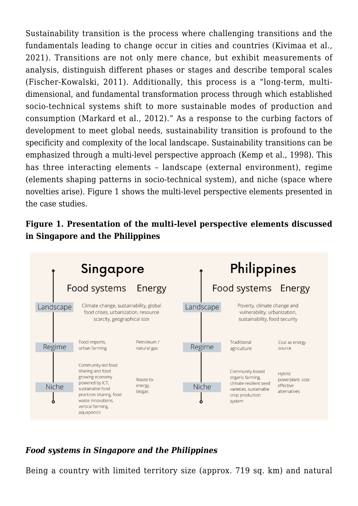Sustainability transition is the process where challenging transitions and the fundamentals leading to change occur in cities and countries (Kivimaa et al., 2021). Transitions are not only mere chance, but exhibit measurements of analysis, distinguish different phases or stages and describe temporal scales (Fischer-Kowalski, 2011). Additionally, this process is a "long-term, multidimensional, and fundamental transformation process through which established socio-technical systems shift to more sustainable modes of production and consumption (Markard et al., 2012)." As a response to the curbing factors of development to meet global needs, sustainability transition is profound to the specificity and complexity of the local landscape. Sustainability transitions can be emphasized through a multi-level perspective approach (Kemp et al., 1998). This has three interacting elements – landscape (external environment), regime (elements shaping patterns in socio-technical system), and niche (space where novelties arise). Figure 1 shows the multi-level perspective elements presented in the case studies.

#### **Figure 1. Presentation of the multi-level perspective elements discussed in Singapore and the Philippines**



## *Food systems in Singapore and the Philippines*

Being a country with limited territory size (approx. 719 sq. km) and natural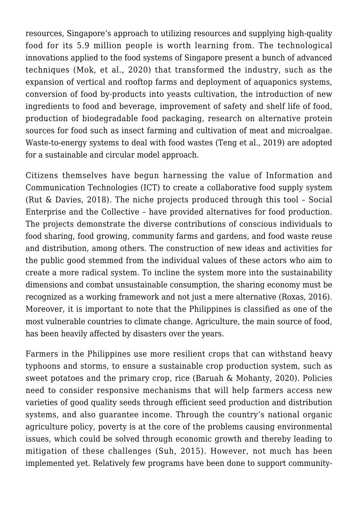resources, Singapore's approach to utilizing resources and supplying high-quality food for its 5.9 million people is worth learning from. The technological innovations applied to the food systems of Singapore present a bunch of advanced techniques (Mok, et al., 2020) that transformed the industry, such as the expansion of vertical and rooftop farms and deployment of aquaponics systems, conversion of food by-products into yeasts cultivation, the introduction of new ingredients to food and beverage, improvement of safety and shelf life of food, production of biodegradable food packaging, research on alternative protein sources for food such as insect farming and cultivation of meat and microalgae. Waste-to-energy systems to deal with food wastes (Teng et al., 2019) are adopted for a sustainable and circular model approach.

Citizens themselves have begun harnessing the value of Information and Communication Technologies (ICT) to create a collaborative food supply system (Rut & Davies, 2018). The niche projects produced through this tool – Social Enterprise and the Collective – have provided alternatives for food production. The projects demonstrate the diverse contributions of conscious individuals to food sharing, food growing, community farms and gardens, and food waste reuse and distribution, among others. The construction of new ideas and activities for the public good stemmed from the individual values of these actors who aim to create a more radical system. To incline the system more into the sustainability dimensions and combat unsustainable consumption, the sharing economy must be recognized as a working framework and not just a mere alternative (Roxas, 2016). Moreover, it is important to note that the Philippines is classified as one of the most vulnerable countries to climate change. Agriculture, the main source of food, has been heavily affected by disasters over the years.

Farmers in the Philippines use more resilient crops that can withstand heavy typhoons and storms, to ensure a sustainable crop production system, such as sweet potatoes and the primary crop, rice (Baruah & Mohanty, 2020). Policies need to consider responsive mechanisms that will help farmers access new varieties of good quality seeds through efficient seed production and distribution systems, and also guarantee income. Through the country's national organic agriculture policy, poverty is at the core of the problems causing environmental issues, which could be solved through economic growth and thereby leading to mitigation of these challenges (Suh, 2015). However, not much has been implemented yet. Relatively few programs have been done to support community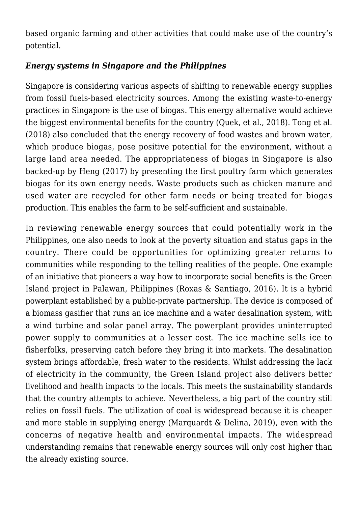based organic farming and other activities that could make use of the country's potential.

## *Energy systems in Singapore and the Philippines*

Singapore is considering various aspects of shifting to renewable energy supplies from fossil fuels-based electricity sources. Among the existing waste-to-energy practices in Singapore is the use of biogas. This energy alternative would achieve the biggest environmental benefits for the country (Quek, et al., 2018). Tong et al. (2018) also concluded that the energy recovery of food wastes and brown water, which produce biogas, pose positive potential for the environment, without a large land area needed. The appropriateness of biogas in Singapore is also backed-up by Heng (2017) by presenting the first poultry farm which generates biogas for its own energy needs. Waste products such as chicken manure and used water are recycled for other farm needs or being treated for biogas production. This enables the farm to be self-sufficient and sustainable.

In reviewing renewable energy sources that could potentially work in the Philippines, one also needs to look at the poverty situation and status gaps in the country. There could be opportunities for optimizing greater returns to communities while responding to the telling realities of the people. One example of an initiative that pioneers a way how to incorporate social benefits is the Green Island project in Palawan, Philippines (Roxas & Santiago, 2016). It is a hybrid powerplant established by a public-private partnership. The device is composed of a biomass gasifier that runs an ice machine and a water desalination system, with a wind turbine and solar panel array. The powerplant provides uninterrupted power supply to communities at a lesser cost. The ice machine sells ice to fisherfolks, preserving catch before they bring it into markets. The desalination system brings affordable, fresh water to the residents. Whilst addressing the lack of electricity in the community, the Green Island project also delivers better livelihood and health impacts to the locals. This meets the sustainability standards that the country attempts to achieve. Nevertheless, a big part of the country still relies on fossil fuels. The utilization of coal is widespread because it is cheaper and more stable in supplying energy (Marquardt & Delina, 2019), even with the concerns of negative health and environmental impacts. The widespread understanding remains that renewable energy sources will only cost higher than the already existing source.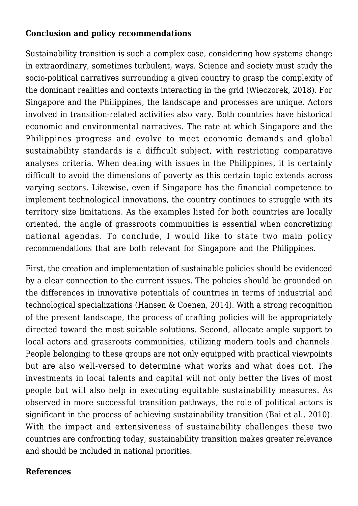#### **Conclusion and policy recommendations**

Sustainability transition is such a complex case, considering how systems change in extraordinary, sometimes turbulent, ways. Science and society must study the socio-political narratives surrounding a given country to grasp the complexity of the dominant realities and contexts interacting in the grid (Wieczorek, 2018). For Singapore and the Philippines, the landscape and processes are unique. Actors involved in transition-related activities also vary. Both countries have historical economic and environmental narratives. The rate at which Singapore and the Philippines progress and evolve to meet economic demands and global sustainability standards is a difficult subject, with restricting comparative analyses criteria. When dealing with issues in the Philippines, it is certainly difficult to avoid the dimensions of poverty as this certain topic extends across varying sectors. Likewise, even if Singapore has the financial competence to implement technological innovations, the country continues to struggle with its territory size limitations. As the examples listed for both countries are locally oriented, the angle of grassroots communities is essential when concretizing national agendas. To conclude, I would like to state two main policy recommendations that are both relevant for Singapore and the Philippines.

First, the creation and implementation of sustainable policies should be evidenced by a clear connection to the current issues. The policies should be grounded on the differences in innovative potentials of countries in terms of industrial and technological specializations (Hansen & Coenen, 2014). With a strong recognition of the present landscape, the process of crafting policies will be appropriately directed toward the most suitable solutions. Second, allocate ample support to local actors and grassroots communities, utilizing modern tools and channels. People belonging to these groups are not only equipped with practical viewpoints but are also well-versed to determine what works and what does not. The investments in local talents and capital will not only better the lives of most people but will also help in executing equitable sustainability measures. As observed in more successful transition pathways, the role of political actors is significant in the process of achieving sustainability transition (Bai et al., 2010). With the impact and extensiveness of sustainability challenges these two countries are confronting today, sustainability transition makes greater relevance and should be included in national priorities.

#### **References**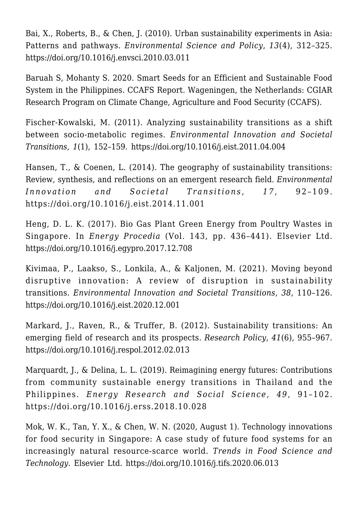Bai, X., Roberts, B., & Chen, J. (2010). [Urban sustainability experiments in Asia:](https://www.academia.edu/50208716/Urban_sustainability_experiments_in_Asia_patterns_and_pathways) [Patterns and pathways.](https://www.academia.edu/50208716/Urban_sustainability_experiments_in_Asia_patterns_and_pathways) *Environmental Science and Policy*, *13*(4), 312–325. <https://doi.org/10.1016/j.envsci.2010.03.011>

Baruah S, Mohanty S. 2020. [Smart Seeds for an Efficient and Sustainable Food](https://ccafs.cgiar.org/resources/publications/smart-seeds-efficient-and-sustainable-food-system-philippines) [System in the Philippines.](https://ccafs.cgiar.org/resources/publications/smart-seeds-efficient-and-sustainable-food-system-philippines) CCAFS Report. Wageningen, the Netherlands: CGIAR Research Program on Climate Change, Agriculture and Food Security (CCAFS).

Fischer-Kowalski, M. (2011). [Analyzing sustainability transitions as a shift](https://www.sciencedirect.com/science/article/abs/pii/S2210422411000153) [between socio-metabolic regimes](https://www.sciencedirect.com/science/article/abs/pii/S2210422411000153). *Environmental Innovation and Societal Transitions*, *1*(1), 152–159.<https://doi.org/10.1016/j.eist.2011.04.004>

Hansen, T., & Coenen, L. (2014). [The geography of sustainability transitions:](https://www.sciencedirect.com/science/article/abs/pii/S2210422414000835) [Review, synthesis, and reflections on an emergent research field](https://www.sciencedirect.com/science/article/abs/pii/S2210422414000835). *Environmental Innovation and Societal Transitions, 17, 92-109.* <https://doi.org/10.1016/j.eist.2014.11.001>

Heng, D. L. K. (2017). [Bio Gas Plant Green Energy from Poultry Wastes in](https://www.sciencedirect.com/science/article/pii/S187661021736472X#:~:text=This%20company%20has%20been%20the,for%20drying%20of%20chicken%20feed.) [Singapore.](https://www.sciencedirect.com/science/article/pii/S187661021736472X#:~:text=This%20company%20has%20been%20the,for%20drying%20of%20chicken%20feed.) In *Energy Procedia* (Vol. 143, pp. 436–441). Elsevier Ltd. <https://doi.org/10.1016/j.egypro.2017.12.708>

Kivimaa, P., Laakso, S., Lonkila, A., & Kaljonen, M. (2021). [Moving beyond](https://www.sciencedirect.com/science/article/pii/S221042242030143X) [disruptive innovation: A review of disruption in sustainability](https://www.sciencedirect.com/science/article/pii/S221042242030143X) [transitions.](https://www.sciencedirect.com/science/article/pii/S221042242030143X) *Environmental Innovation and Societal Transitions*, *38*, 110–126. <https://doi.org/10.1016/j.eist.2020.12.001>

Markard, J., Raven, R., & Truffer, B. (2012). [Sustainability transitions: An](https://www.sciencedirect.com/science/article/abs/pii/S004873331200056X) [emerging field of research and its prospects](https://www.sciencedirect.com/science/article/abs/pii/S004873331200056X). *Research Policy*, *41*(6), 955–967. <https://doi.org/10.1016/j.respol.2012.02.013>

Marquardt, J., & Delina, L. L. (2019). [Reimagining energy futures: Contributions](https://www.sciencedirect.com/science/article/abs/pii/S221462961830570X) [from community sustainable energy transitions in Thailand and the](https://www.sciencedirect.com/science/article/abs/pii/S221462961830570X) [Philippines](https://www.sciencedirect.com/science/article/abs/pii/S221462961830570X). *Energy Research and Social Science*, *49*, 91–102. <https://doi.org/10.1016/j.erss.2018.10.028>

Mok, W. K., Tan, Y. X., & Chen, W. N. (2020, August 1). [Technology innovations](https://www.sciencedirect.com/science/article/pii/S092422442030515X) [for food security in Singapore: A case study of future food systems for an](https://www.sciencedirect.com/science/article/pii/S092422442030515X) [increasingly natural resource-scarce world.](https://www.sciencedirect.com/science/article/pii/S092422442030515X) *Trends in Food Science and Technology*. Elsevier Ltd.<https://doi.org/10.1016/j.tifs.2020.06.013>